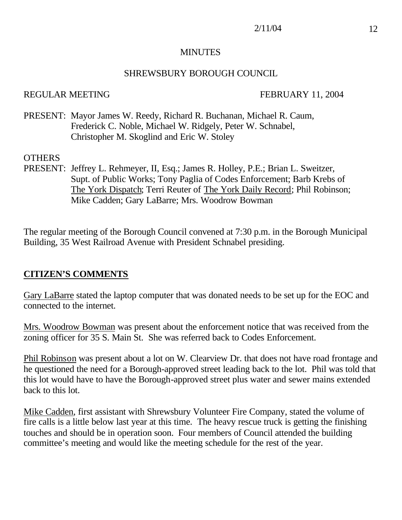#### MINUTES

#### SHREWSBURY BOROUGH COUNCIL

#### REGULAR MEETING FEBRUARY 11, 2004

PRESENT: Mayor James W. Reedy, Richard R. Buchanan, Michael R. Caum, Frederick C. Noble, Michael W. Ridgely, Peter W. Schnabel, Christopher M. Skoglind and Eric W. Stoley

#### **OTHERS**

PRESENT: Jeffrey L. Rehmeyer, II, Esq.; James R. Holley, P.E.; Brian L. Sweitzer, Supt. of Public Works; Tony Paglia of Codes Enforcement; Barb Krebs of The York Dispatch; Terri Reuter of The York Daily Record; Phil Robinson; Mike Cadden; Gary LaBarre; Mrs. Woodrow Bowman

The regular meeting of the Borough Council convened at 7:30 p.m. in the Borough Municipal Building, 35 West Railroad Avenue with President Schnabel presiding.

## **CITIZEN'S COMMENTS**

Gary LaBarre stated the laptop computer that was donated needs to be set up for the EOC and connected to the internet.

Mrs. Woodrow Bowman was present about the enforcement notice that was received from the zoning officer for 35 S. Main St. She was referred back to Codes Enforcement.

Phil Robinson was present about a lot on W. Clearview Dr. that does not have road frontage and he questioned the need for a Borough-approved street leading back to the lot. Phil was told that this lot would have to have the Borough-approved street plus water and sewer mains extended back to this lot.

Mike Cadden, first assistant with Shrewsbury Volunteer Fire Company, stated the volume of fire calls is a little below last year at this time. The heavy rescue truck is getting the finishing touches and should be in operation soon. Four members of Council attended the building committee's meeting and would like the meeting schedule for the rest of the year.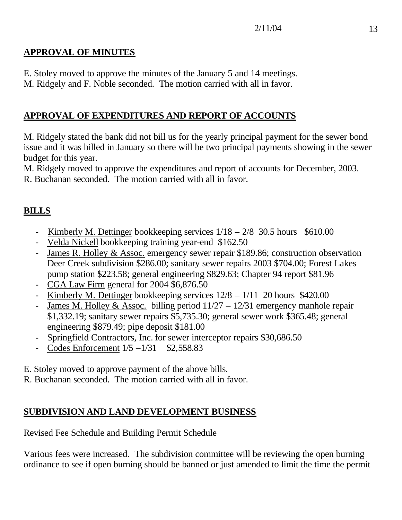## **APPROVAL OF MINUTES**

E. Stoley moved to approve the minutes of the January 5 and 14 meetings.

M. Ridgely and F. Noble seconded. The motion carried with all in favor.

## **APPROVAL OF EXPENDITURES AND REPORT OF ACCOUNTS**

M. Ridgely stated the bank did not bill us for the yearly principal payment for the sewer bond issue and it was billed in January so there will be two principal payments showing in the sewer budget for this year.

M. Ridgely moved to approve the expenditures and report of accounts for December, 2003. R. Buchanan seconded. The motion carried with all in favor.

## **BILLS**

- Kimberly M. Dettinger bookkeeping services  $1/18 2/8$  30.5 hours \$610.00
- Velda Nickell bookkeeping training year-end \$162.50
- James R. Holley & Assoc. emergency sewer repair \$189.86; construction observation Deer Creek subdivision \$286.00; sanitary sewer repairs 2003 \$704.00; Forest Lakes pump station \$223.58; general engineering \$829.63; Chapter 94 report \$81.96
- CGA Law Firm general for 2004 \$6,876.50
- Kimberly M. Dettinger bookkeeping services 12/8 1/11 20 hours \$420.00
- James M. Holley & Assoc. billing period  $11/27 12/31$  emergency manhole repair \$1,332.19; sanitary sewer repairs \$5,735.30; general sewer work \$365.48; general engineering \$879.49; pipe deposit \$181.00
- Springfield Contractors, Inc. for sewer interceptor repairs \$30,686.50
- Codes Enforcement  $1/5 1/31$  \$2,558.83
- E. Stoley moved to approve payment of the above bills.
- R. Buchanan seconded. The motion carried with all in favor.

## **SUBDIVISION AND LAND DEVELOPMENT BUSINESS**

## Revised Fee Schedule and Building Permit Schedule

Various fees were increased. The subdivision committee will be reviewing the open burning ordinance to see if open burning should be banned or just amended to limit the time the permit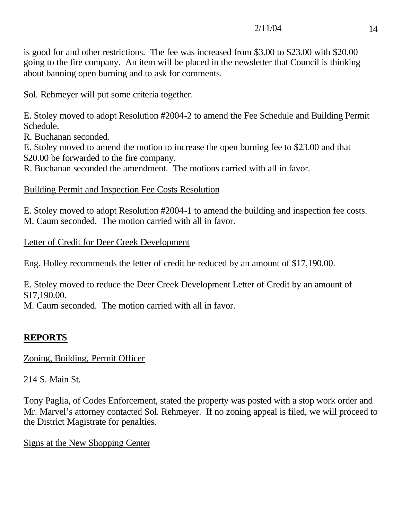is good for and other restrictions. The fee was increased from \$3.00 to \$23.00 with \$20.00 going to the fire company. An item will be placed in the newsletter that Council is thinking about banning open burning and to ask for comments.

Sol. Rehmeyer will put some criteria together.

E. Stoley moved to adopt Resolution #2004-2 to amend the Fee Schedule and Building Permit Schedule.

R. Buchanan seconded.

E. Stoley moved to amend the motion to increase the open burning fee to \$23.00 and that \$20.00 be forwarded to the fire company.

R. Buchanan seconded the amendment. The motions carried with all in favor.

Building Permit and Inspection Fee Costs Resolution

E. Stoley moved to adopt Resolution #2004-1 to amend the building and inspection fee costs. M. Caum seconded. The motion carried with all in favor.

Letter of Credit for Deer Creek Development

Eng. Holley recommends the letter of credit be reduced by an amount of \$17,190.00.

E. Stoley moved to reduce the Deer Creek Development Letter of Credit by an amount of \$17,190.00.

M. Caum seconded. The motion carried with all in favor.

## **REPORTS**

Zoning, Building, Permit Officer

## 214 S. Main St.

Tony Paglia, of Codes Enforcement, stated the property was posted with a stop work order and Mr. Marvel's attorney contacted Sol. Rehmeyer. If no zoning appeal is filed, we will proceed to the District Magistrate for penalties.

## Signs at the New Shopping Center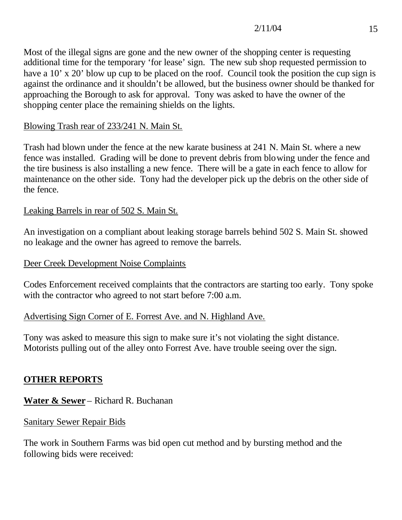## $2/11/04$  15

Most of the illegal signs are gone and the new owner of the shopping center is requesting additional time for the temporary 'for lease' sign. The new sub shop requested permission to have a 10' x 20' blow up cup to be placed on the roof. Council took the position the cup sign is against the ordinance and it shouldn't be allowed, but the business owner should be thanked for approaching the Borough to ask for approval. Tony was asked to have the owner of the shopping center place the remaining shields on the lights.

## Blowing Trash rear of 233/241 N. Main St.

Trash had blown under the fence at the new karate business at 241 N. Main St. where a new fence was installed. Grading will be done to prevent debris from blowing under the fence and the tire business is also installing a new fence. There will be a gate in each fence to allow for maintenance on the other side. Tony had the developer pick up the debris on the other side of the fence.

## Leaking Barrels in rear of 502 S. Main St.

An investigation on a compliant about leaking storage barrels behind 502 S. Main St. showed no leakage and the owner has agreed to remove the barrels.

#### Deer Creek Development Noise Complaints

Codes Enforcement received complaints that the contractors are starting too early. Tony spoke with the contractor who agreed to not start before 7:00 a.m.

## Advertising Sign Corner of E. Forrest Ave. and N. Highland Ave.

Tony was asked to measure this sign to make sure it's not violating the sight distance. Motorists pulling out of the alley onto Forrest Ave. have trouble seeing over the sign.

## **OTHER REPORTS**

**Water & Sewer** – Richard R. Buchanan

#### Sanitary Sewer Repair Bids

The work in Southern Farms was bid open cut method and by bursting method and the following bids were received: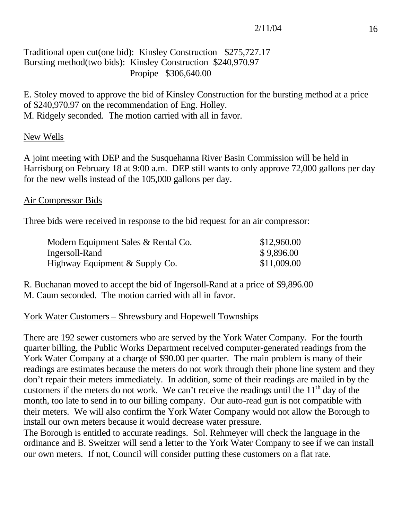## Traditional open cut(one bid): Kinsley Construction \$275,727.17 Bursting method(two bids): Kinsley Construction \$240,970.97 Propipe \$306,640.00

E. Stoley moved to approve the bid of Kinsley Construction for the bursting method at a price of \$240,970.97 on the recommendation of Eng. Holley. M. Ridgely seconded. The motion carried with all in favor.

#### New Wells

A joint meeting with DEP and the Susquehanna River Basin Commission will be held in Harrisburg on February 18 at 9:00 a.m. DEP still wants to only approve 72,000 gallons per day for the new wells instead of the 105,000 gallons per day.

#### Air Compressor Bids

Three bids were received in response to the bid request for an air compressor:

| Modern Equipment Sales & Rental Co. | \$12,960.00 |
|-------------------------------------|-------------|
| Ingersoll-Rand                      | \$9,896.00  |
| Highway Equipment & Supply Co.      | \$11,009.00 |

R. Buchanan moved to accept the bid of Ingersoll-Rand at a price of \$9,896.00 M. Caum seconded. The motion carried with all in favor.

#### York Water Customers – Shrewsbury and Hopewell Townships

There are 192 sewer customers who are served by the York Water Company. For the fourth quarter billing, the Public Works Department received computer-generated readings from the York Water Company at a charge of \$90.00 per quarter. The main problem is many of their readings are estimates because the meters do not work through their phone line system and they don't repair their meters immediately. In addition, some of their readings are mailed in by the customers if the meters do not work. We can't receive the readings until the  $11<sup>th</sup>$  day of the month, too late to send in to our billing company. Our auto-read gun is not compatible with their meters. We will also confirm the York Water Company would not allow the Borough to install our own meters because it would decrease water pressure.

The Borough is entitled to accurate readings. Sol. Rehmeyer will check the language in the ordinance and B. Sweitzer will send a letter to the York Water Company to see if we can install our own meters. If not, Council will consider putting these customers on a flat rate.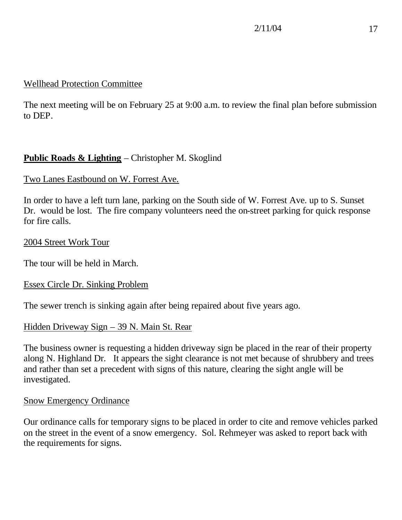## Wellhead Protection Committee

The next meeting will be on February 25 at 9:00 a.m. to review the final plan before submission to DEP.

## **Public Roads & Lighting** – Christopher M. Skoglind

## Two Lanes Eastbound on W. Forrest Ave.

In order to have a left turn lane, parking on the South side of W. Forrest Ave. up to S. Sunset Dr. would be lost. The fire company volunteers need the on-street parking for quick response for fire calls.

#### 2004 Street Work Tour

The tour will be held in March.

## Essex Circle Dr. Sinking Problem

The sewer trench is sinking again after being repaired about five years ago.

## Hidden Driveway Sign – 39 N. Main St. Rear

The business owner is requesting a hidden driveway sign be placed in the rear of their property along N. Highland Dr. It appears the sight clearance is not met because of shrubbery and trees and rather than set a precedent with signs of this nature, clearing the sight angle will be investigated.

#### Snow Emergency Ordinance

Our ordinance calls for temporary signs to be placed in order to cite and remove vehicles parked on the street in the event of a snow emergency. Sol. Rehmeyer was asked to report back with the requirements for signs.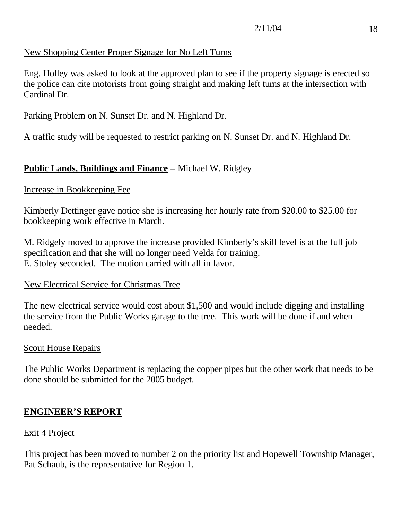## New Shopping Center Proper Signage for No Left Turns

Eng. Holley was asked to look at the approved plan to see if the property signage is erected so the police can cite motorists from going straight and making left turns at the intersection with Cardinal Dr.

#### Parking Problem on N. Sunset Dr. and N. Highland Dr.

A traffic study will be requested to restrict parking on N. Sunset Dr. and N. Highland Dr.

#### **Public Lands, Buildings and Finance** – Michael W. Ridgley

#### Increase in Bookkeeping Fee

Kimberly Dettinger gave notice she is increasing her hourly rate from \$20.00 to \$25.00 for bookkeeping work effective in March.

M. Ridgely moved to approve the increase provided Kimberly's skill level is at the full job specification and that she will no longer need Velda for training. E. Stoley seconded. The motion carried with all in favor.

#### New Electrical Service for Christmas Tree

The new electrical service would cost about \$1,500 and would include digging and installing the service from the Public Works garage to the tree. This work will be done if and when needed.

#### Scout House Repairs

The Public Works Department is replacing the copper pipes but the other work that needs to be done should be submitted for the 2005 budget.

#### **ENGINEER'S REPORT**

#### Exit 4 Project

This project has been moved to number 2 on the priority list and Hopewell Township Manager, Pat Schaub, is the representative for Region 1.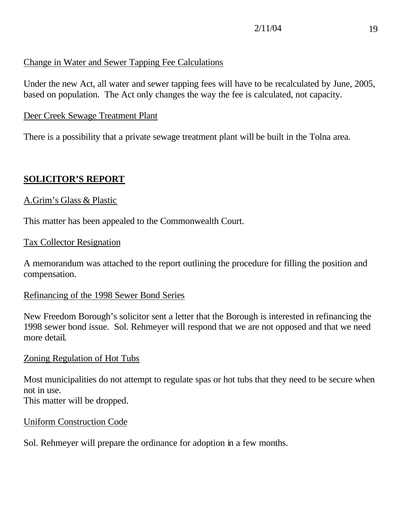# Change in Water and Sewer Tapping Fee Calculations

Under the new Act, all water and sewer tapping fees will have to be recalculated by June, 2005, based on population. The Act only changes the way the fee is calculated, not capacity.

#### Deer Creek Sewage Treatment Plant

There is a possibility that a private sewage treatment plant will be built in the Tolna area.

## **SOLICITOR'S REPORT**

#### A.Grim's Glass & Plastic

This matter has been appealed to the Commonwealth Court.

#### Tax Collector Resignation

A memorandum was attached to the report outlining the procedure for filling the position and compensation.

## Refinancing of the 1998 Sewer Bond Series

New Freedom Borough's solicitor sent a letter that the Borough is interested in refinancing the 1998 sewer bond issue. Sol. Rehmeyer will respond that we are not opposed and that we need more detail.

## Zoning Regulation of Hot Tubs

Most municipalities do not attempt to regulate spas or hot tubs that they need to be secure when not in use. This matter will be dropped.

## Uniform Construction Code

Sol. Rehmeyer will prepare the ordinance for adoption in a few months.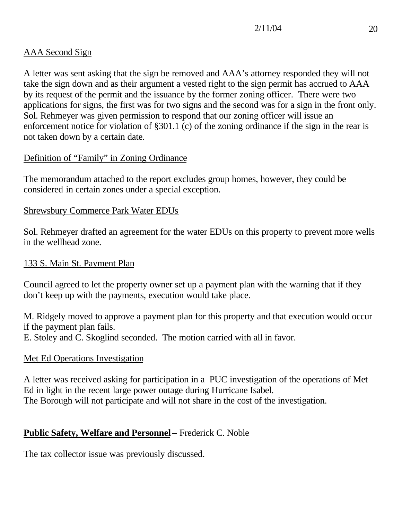## AAA Second Sign

A letter was sent asking that the sign be removed and AAA's attorney responded they will not take the sign down and as their argument a vested right to the sign permit has accrued to AAA by its request of the permit and the issuance by the former zoning officer. There were two applications for signs, the first was for two signs and the second was for a sign in the front only. Sol. Rehmeyer was given permission to respond that our zoning officer will issue an enforcement notice for violation of §301.1 (c) of the zoning ordinance if the sign in the rear is not taken down by a certain date.

## Definition of "Family" in Zoning Ordinance

The memorandum attached to the report excludes group homes, however, they could be considered in certain zones under a special exception.

## Shrewsbury Commerce Park Water EDUs

Sol. Rehmeyer drafted an agreement for the water EDUs on this property to prevent more wells in the wellhead zone.

## 133 S. Main St. Payment Plan

Council agreed to let the property owner set up a payment plan with the warning that if they don't keep up with the payments, execution would take place.

M. Ridgely moved to approve a payment plan for this property and that execution would occur if the payment plan fails.

E. Stoley and C. Skoglind seconded. The motion carried with all in favor.

## Met Ed Operations Investigation

A letter was received asking for participation in a PUC investigation of the operations of Met Ed in light in the recent large power outage during Hurricane Isabel. The Borough will not participate and will not share in the cost of the investigation.

## **Public Safety, Welfare and Personnel** – Frederick C. Noble

The tax collector issue was previously discussed.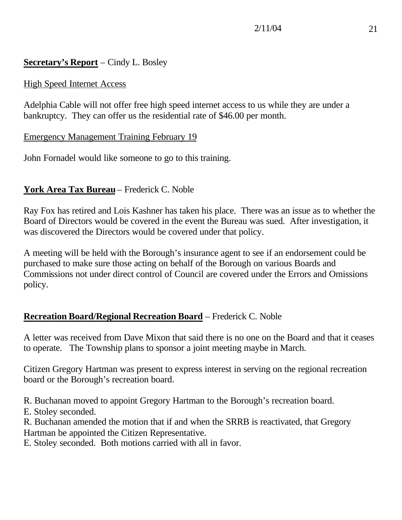## **Secretary's Report** – Cindy L. Bosley

## High Speed Internet Access

Adelphia Cable will not offer free high speed internet access to us while they are under a bankruptcy. They can offer us the residential rate of \$46.00 per month.

#### Emergency Management Training February 19

John Fornadel would like someone to go to this training.

## **York Area Tax Bureau** – Frederick C. Noble

Ray Fox has retired and Lois Kashner has taken his place. There was an issue as to whether the Board of Directors would be covered in the event the Bureau was sued. After investigation, it was discovered the Directors would be covered under that policy.

A meeting will be held with the Borough's insurance agent to see if an endorsement could be purchased to make sure those acting on behalf of the Borough on various Boards and Commissions not under direct control of Council are covered under the Errors and Omissions policy.

## **Recreation Board/Regional Recreation Board** – Frederick C. Noble

A letter was received from Dave Mixon that said there is no one on the Board and that it ceases to operate. The Township plans to sponsor a joint meeting maybe in March.

Citizen Gregory Hartman was present to express interest in serving on the regional recreation board or the Borough's recreation board.

R. Buchanan moved to appoint Gregory Hartman to the Borough's recreation board.

E. Stoley seconded.

R. Buchanan amended the motion that if and when the SRRB is reactivated, that Gregory Hartman be appointed the Citizen Representative.

E. Stoley seconded. Both motions carried with all in favor.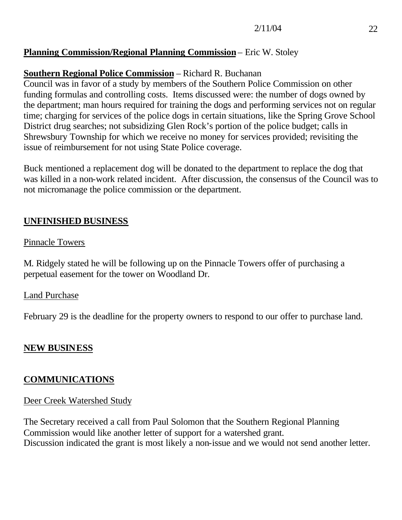## **Planning Commission/Regional Planning Commission** – Eric W. Stoley

## **Southern Regional Police Commission** – Richard R. Buchanan

Council was in favor of a study by members of the Southern Police Commission on other funding formulas and controlling costs. Items discussed were: the number of dogs owned by the department; man hours required for training the dogs and performing services not on regular time; charging for services of the police dogs in certain situations, like the Spring Grove School District drug searches; not subsidizing Glen Rock's portion of the police budget; calls in Shrewsbury Township for which we receive no money for services provided; revisiting the issue of reimbursement for not using State Police coverage.

Buck mentioned a replacement dog will be donated to the department to replace the dog that was killed in a non-work related incident. After discussion, the consensus of the Council was to not micromanage the police commission or the department.

## **UNFINISHED BUSINESS**

## Pinnacle Towers

M. Ridgely stated he will be following up on the Pinnacle Towers offer of purchasing a perpetual easement for the tower on Woodland Dr.

## Land Purchase

February 29 is the deadline for the property owners to respond to our offer to purchase land.

## **NEW BUSINESS**

## **COMMUNICATIONS**

## Deer Creek Watershed Study

The Secretary received a call from Paul Solomon that the Southern Regional Planning Commission would like another letter of support for a watershed grant. Discussion indicated the grant is most likely a non-issue and we would not send another letter.